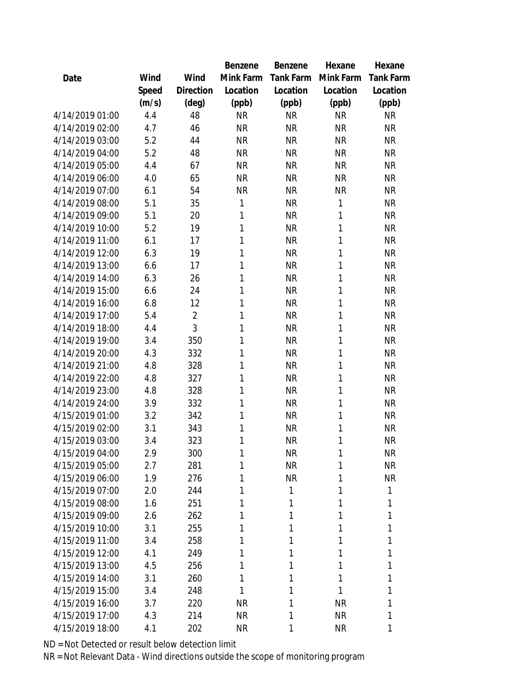|                 |       |                | Benzene   | Benzene   | Hexane       | Hexane           |
|-----------------|-------|----------------|-----------|-----------|--------------|------------------|
| Date            | Wind  | Wind           | Mink Farm | Tank Farm | Mink Farm    | <b>Tank Farm</b> |
|                 | Speed | Direction      | Location  | Location  | Location     | Location         |
|                 | (m/s) | $(\text{deg})$ | (ppb)     | (ppb)     | (ppb)        | (ppb)            |
| 4/14/2019 01:00 | 4.4   | 48             | <b>NR</b> | <b>NR</b> | <b>NR</b>    | <b>NR</b>        |
| 4/14/2019 02:00 | 4.7   | 46             | <b>NR</b> | <b>NR</b> | <b>NR</b>    | <b>NR</b>        |
| 4/14/2019 03:00 | 5.2   | 44             | <b>NR</b> | <b>NR</b> | <b>NR</b>    | <b>NR</b>        |
| 4/14/2019 04:00 | 5.2   | 48             | <b>NR</b> | <b>NR</b> | <b>NR</b>    | <b>NR</b>        |
| 4/14/2019 05:00 | 4.4   | 67             | <b>NR</b> | <b>NR</b> | <b>NR</b>    | <b>NR</b>        |
| 4/14/2019 06:00 | 4.0   | 65             | <b>NR</b> | <b>NR</b> | <b>NR</b>    | <b>NR</b>        |
| 4/14/2019 07:00 | 6.1   | 54             | <b>NR</b> | <b>NR</b> | <b>NR</b>    | <b>NR</b>        |
| 4/14/2019 08:00 | 5.1   | 35             | 1         | <b>NR</b> | 1            | <b>NR</b>        |
| 4/14/2019 09:00 | 5.1   | 20             | 1         | <b>NR</b> | 1            | <b>NR</b>        |
| 4/14/2019 10:00 | 5.2   | 19             | 1         | <b>NR</b> | 1            | <b>NR</b>        |
| 4/14/2019 11:00 | 6.1   | 17             | 1         | <b>NR</b> | 1            | <b>NR</b>        |
| 4/14/2019 12:00 | 6.3   | 19             | 1         | <b>NR</b> | 1            | <b>NR</b>        |
| 4/14/2019 13:00 | 6.6   | 17             | 1         | <b>NR</b> | 1            | <b>NR</b>        |
| 4/14/2019 14:00 | 6.3   | 26             | 1         | <b>NR</b> | 1            | <b>NR</b>        |
| 4/14/2019 15:00 | 6.6   | 24             | 1         | <b>NR</b> | 1            | <b>NR</b>        |
| 4/14/2019 16:00 | 6.8   | 12             | 1         | <b>NR</b> | $\mathbf{1}$ | <b>NR</b>        |
| 4/14/2019 17:00 | 5.4   | $\overline{2}$ | 1         | <b>NR</b> | 1            | <b>NR</b>        |
| 4/14/2019 18:00 | 4.4   | 3              | 1         | <b>NR</b> | 1            | <b>NR</b>        |
| 4/14/2019 19:00 | 3.4   | 350            | 1         | <b>NR</b> | 1            | <b>NR</b>        |
| 4/14/2019 20:00 | 4.3   | 332            | 1         | <b>NR</b> | 1            | <b>NR</b>        |
| 4/14/2019 21:00 | 4.8   | 328            | 1         | <b>NR</b> | 1            | <b>NR</b>        |
| 4/14/2019 22:00 | 4.8   | 327            | 1         | <b>NR</b> | $\mathbf{1}$ | <b>NR</b>        |
| 4/14/2019 23:00 | 4.8   | 328            | 1         | <b>NR</b> | 1            | <b>NR</b>        |
| 4/14/2019 24:00 | 3.9   | 332            | 1         | <b>NR</b> | $\mathbf{1}$ | <b>NR</b>        |
| 4/15/2019 01:00 | 3.2   | 342            | 1         | <b>NR</b> | $\mathbf{1}$ | <b>NR</b>        |
| 4/15/2019 02:00 | 3.1   | 343            | 1         | <b>NR</b> | $\mathbf{1}$ | <b>NR</b>        |
| 4/15/2019 03:00 | 3.4   | 323            | 1         | <b>NR</b> | 1            | <b>NR</b>        |
| 4/15/2019 04:00 | 2.9   | 300            | 1         | <b>NR</b> | 1            | <b>NR</b>        |
| 4/15/2019 05:00 | 2.7   | 281            | 1         | <b>NR</b> | 1            | <b>NR</b>        |
| 4/15/2019 06:00 | 1.9   | 276            | 1         | <b>NR</b> | 1            | <b>NR</b>        |
| 4/15/2019 07:00 | 2.0   | 244            | 1         | 1         | 1            | 1                |
| 4/15/2019 08:00 | 1.6   | 251            | 1         | 1         | 1            | 1                |
| 4/15/2019 09:00 | 2.6   | 262            | 1         | 1         | 1            | 1                |
| 4/15/2019 10:00 | 3.1   | 255            | 1         | 1         | 1            | 1                |
| 4/15/2019 11:00 | 3.4   | 258            | 1         | 1         | 1            | 1                |
| 4/15/2019 12:00 | 4.1   | 249            | 1         | 1         | 1            | 1                |
| 4/15/2019 13:00 | 4.5   | 256            | 1         | 1         | 1            | 1                |
| 4/15/2019 14:00 | 3.1   | 260            | 1         | 1         | 1            | 1                |
| 4/15/2019 15:00 | 3.4   | 248            | 1         | 1         | 1            | 1                |
| 4/15/2019 16:00 | 3.7   | 220            | <b>NR</b> | 1         | <b>NR</b>    | 1                |
| 4/15/2019 17:00 | 4.3   | 214            | <b>NR</b> | 1         | <b>NR</b>    | 1                |
| 4/15/2019 18:00 | 4.1   | 202            | <b>NR</b> | 1         | <b>NR</b>    | 1                |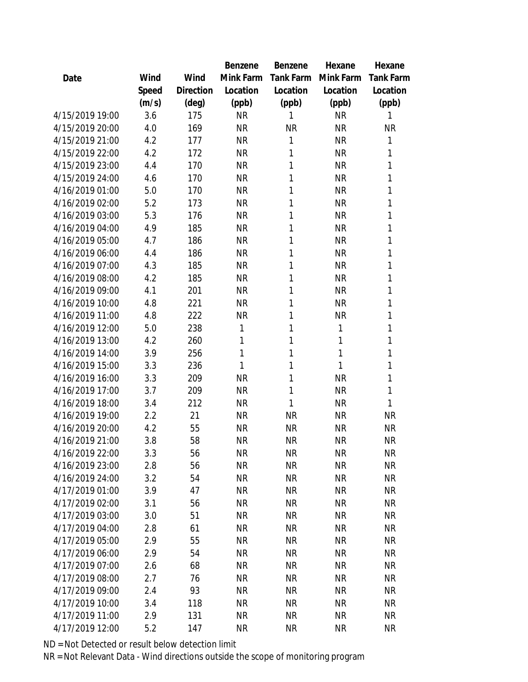|                 |       |           | Benzene   | Benzene   | Hexane    | Hexane    |
|-----------------|-------|-----------|-----------|-----------|-----------|-----------|
| Date            | Wind  | Wind      | Mink Farm | Tank Farm | Mink Farm | Tank Farm |
|                 | Speed | Direction | Location  | Location  | Location  | Location  |
|                 | (m/s) | (deg)     | (ppb)     | (ppb)     | (ppb)     | (ppb)     |
| 4/15/2019 19:00 | 3.6   | 175       | <b>NR</b> | 1         | <b>NR</b> | 1         |
| 4/15/2019 20:00 | 4.0   | 169       | <b>NR</b> | <b>NR</b> | <b>NR</b> | NR        |
| 4/15/2019 21:00 | 4.2   | 177       | <b>NR</b> | 1         | <b>NR</b> | 1         |
| 4/15/2019 22:00 | 4.2   | 172       | <b>NR</b> | 1         | <b>NR</b> | 1         |
| 4/15/2019 23:00 | 4.4   | 170       | <b>NR</b> | 1         | <b>NR</b> | 1         |
| 4/15/2019 24:00 | 4.6   | 170       | <b>NR</b> | 1         | <b>NR</b> | 1         |
| 4/16/2019 01:00 | 5.0   | 170       | <b>NR</b> | 1         | <b>NR</b> | 1         |
| 4/16/2019 02:00 | 5.2   | 173       | <b>NR</b> | 1         | <b>NR</b> | 1         |
| 4/16/2019 03:00 | 5.3   | 176       | <b>NR</b> | 1         | <b>NR</b> | 1         |
| 4/16/2019 04:00 | 4.9   | 185       | <b>NR</b> | 1         | <b>NR</b> | 1         |
| 4/16/2019 05:00 | 4.7   | 186       | <b>NR</b> | 1         | <b>NR</b> | 1         |
| 4/16/2019 06:00 | 4.4   | 186       | <b>NR</b> | 1         | <b>NR</b> | 1         |
| 4/16/2019 07:00 | 4.3   | 185       | <b>NR</b> | 1         | <b>NR</b> | 1         |
| 4/16/2019 08:00 | 4.2   | 185       | <b>NR</b> | 1         | <b>NR</b> | 1         |
| 4/16/2019 09:00 | 4.1   | 201       | <b>NR</b> | 1         | <b>NR</b> | 1         |
| 4/16/2019 10:00 | 4.8   | 221       | <b>NR</b> | 1         | <b>NR</b> | 1         |
| 4/16/2019 11:00 | 4.8   | 222       | <b>NR</b> | 1         | <b>NR</b> | 1         |
| 4/16/2019 12:00 | 5.0   | 238       | 1         | 1         | 1         | 1         |
| 4/16/2019 13:00 | 4.2   | 260       | 1         | 1         | 1         | 1         |
| 4/16/2019 14:00 | 3.9   | 256       | 1         | 1         | 1         | 1         |
| 4/16/2019 15:00 | 3.3   | 236       | 1         | 1         | 1         | 1         |
| 4/16/2019 16:00 | 3.3   | 209       | <b>NR</b> | 1         | <b>NR</b> | 1         |
| 4/16/2019 17:00 | 3.7   | 209       | <b>NR</b> | 1         | <b>NR</b> | 1         |
| 4/16/2019 18:00 | 3.4   | 212       | <b>NR</b> | 1         | <b>NR</b> | 1         |
| 4/16/2019 19:00 | 2.2   | 21        | <b>NR</b> | <b>NR</b> | <b>NR</b> | <b>NR</b> |
| 4/16/2019 20:00 | 4.2   | 55        | <b>NR</b> | <b>NR</b> | <b>NR</b> | <b>NR</b> |
| 4/16/2019 21:00 | 3.8   | 58        | <b>NR</b> | <b>NR</b> | <b>NR</b> | <b>NR</b> |
| 4/16/2019 22:00 | 3.3   | 56        | <b>NR</b> | NR        | <b>NR</b> | <b>NR</b> |
| 4/16/2019 23:00 | 2.8   | 56        | <b>NR</b> | NR        | <b>NR</b> | <b>NR</b> |
| 4/16/2019 24:00 | 3.2   | 54        | <b>NR</b> | <b>NR</b> | <b>NR</b> | <b>NR</b> |
| 4/17/2019 01:00 | 3.9   | 47        | <b>NR</b> | <b>NR</b> | <b>NR</b> | <b>NR</b> |
| 4/17/2019 02:00 | 3.1   | 56        | <b>NR</b> | <b>NR</b> | <b>NR</b> | <b>NR</b> |
| 4/17/2019 03:00 | 3.0   | 51        | <b>NR</b> | <b>NR</b> | <b>NR</b> | <b>NR</b> |
| 4/17/2019 04:00 | 2.8   | 61        | <b>NR</b> | NR        | <b>NR</b> | <b>NR</b> |
| 4/17/2019 05:00 | 2.9   | 55        | <b>NR</b> | NR        | <b>NR</b> | <b>NR</b> |
| 4/17/2019 06:00 | 2.9   | 54        | <b>NR</b> | <b>NR</b> | <b>NR</b> | <b>NR</b> |
| 4/17/2019 07:00 | 2.6   | 68        | <b>NR</b> | <b>NR</b> | <b>NR</b> | <b>NR</b> |
| 4/17/2019 08:00 | 2.7   | 76        | <b>NR</b> | <b>NR</b> | <b>NR</b> | <b>NR</b> |
| 4/17/2019 09:00 | 2.4   | 93        | <b>NR</b> | <b>NR</b> | <b>NR</b> | <b>NR</b> |
| 4/17/2019 10:00 | 3.4   | 118       | <b>NR</b> | NR        | <b>NR</b> | <b>NR</b> |
| 4/17/2019 11:00 | 2.9   | 131       | <b>NR</b> | <b>NR</b> | <b>NR</b> | <b>NR</b> |
| 4/17/2019 12:00 | 5.2   | 147       | <b>NR</b> | <b>NR</b> | <b>NR</b> | <b>NR</b> |
|                 |       |           |           |           |           |           |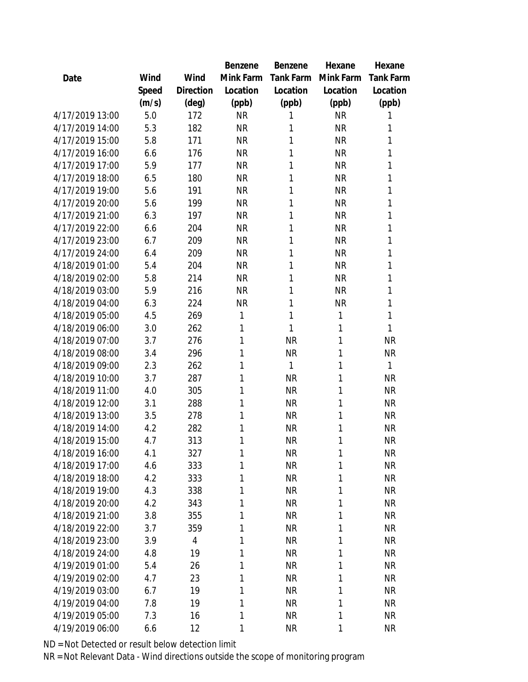|                 |       |                | Benzene   | Benzene   | Hexane    | Hexane           |
|-----------------|-------|----------------|-----------|-----------|-----------|------------------|
| Date            | Wind  | Wind           | Mink Farm | Tank Farm | Mink Farm | <b>Tank Farm</b> |
|                 | Speed | Direction      | Location  | Location  | Location  | Location         |
|                 | (m/s) | (deg)          | (ppb)     | (ppb)     | (ppb)     | (ppb)            |
| 4/17/2019 13:00 | 5.0   | 172            | <b>NR</b> | 1         | <b>NR</b> | 1                |
| 4/17/2019 14:00 | 5.3   | 182            | <b>NR</b> | 1         | <b>NR</b> | 1                |
| 4/17/2019 15:00 | 5.8   | 171            | <b>NR</b> | 1         | <b>NR</b> | 1                |
| 4/17/2019 16:00 | 6.6   | 176            | <b>NR</b> | 1         | <b>NR</b> | 1                |
| 4/17/2019 17:00 | 5.9   | 177            | <b>NR</b> | 1         | <b>NR</b> | 1                |
| 4/17/2019 18:00 | 6.5   | 180            | <b>NR</b> | 1         | <b>NR</b> | 1                |
| 4/17/2019 19:00 | 5.6   | 191            | <b>NR</b> | 1         | <b>NR</b> | 1                |
| 4/17/2019 20:00 | 5.6   | 199            | <b>NR</b> | 1         | <b>NR</b> | 1                |
| 4/17/2019 21:00 | 6.3   | 197            | <b>NR</b> | 1         | <b>NR</b> | 1                |
| 4/17/2019 22:00 | 6.6   | 204            | <b>NR</b> | 1         | <b>NR</b> | 1                |
| 4/17/2019 23:00 | 6.7   | 209            | <b>NR</b> | 1         | <b>NR</b> | 1                |
| 4/17/2019 24:00 | 6.4   | 209            | <b>NR</b> | 1         | <b>NR</b> | 1                |
| 4/18/2019 01:00 | 5.4   | 204            | <b>NR</b> | 1         | <b>NR</b> | 1                |
| 4/18/2019 02:00 | 5.8   | 214            | <b>NR</b> | 1         | <b>NR</b> | 1                |
| 4/18/2019 03:00 | 5.9   | 216            | <b>NR</b> | 1         | <b>NR</b> | 1                |
| 4/18/2019 04:00 | 6.3   | 224            | <b>NR</b> | 1         | <b>NR</b> | 1                |
| 4/18/2019 05:00 | 4.5   | 269            | 1         | 1         | 1         | 1                |
| 4/18/2019 06:00 | 3.0   | 262            | 1         | 1         | 1         | 1                |
| 4/18/2019 07:00 | 3.7   | 276            | 1         | <b>NR</b> | 1         | <b>NR</b>        |
| 4/18/2019 08:00 | 3.4   | 296            | 1         | <b>NR</b> | 1         | <b>NR</b>        |
| 4/18/2019 09:00 | 2.3   | 262            | 1         | 1         | 1         | 1                |
| 4/18/2019 10:00 | 3.7   | 287            | 1         | <b>NR</b> | 1         | <b>NR</b>        |
| 4/18/2019 11:00 | 4.0   | 305            | 1         | <b>NR</b> | 1         | <b>NR</b>        |
| 4/18/2019 12:00 | 3.1   | 288            | 1         | <b>NR</b> | 1         | <b>NR</b>        |
| 4/18/2019 13:00 | 3.5   | 278            | 1         | <b>NR</b> | 1         | <b>NR</b>        |
| 4/18/2019 14:00 | 4.2   | 282            | 1         | <b>NR</b> | 1         | <b>NR</b>        |
| 4/18/2019 15:00 | 4.7   | 313            | 1         | <b>NR</b> | 1         | <b>NR</b>        |
| 4/18/2019 16:00 | 4.1   | 327            | 1         | <b>NR</b> | 1         | <b>NR</b>        |
| 4/18/2019 17:00 | 4.6   | 333            | 1         | <b>NR</b> | 1         | <b>NR</b>        |
| 4/18/2019 18:00 | 4.2   | 333            | 1         | <b>NR</b> | 1         | <b>NR</b>        |
| 4/18/2019 19:00 | 4.3   | 338            | 1         | <b>NR</b> | 1         | <b>NR</b>        |
| 4/18/2019 20:00 | 4.2   | 343            | 1         | <b>NR</b> | 1         | <b>NR</b>        |
| 4/18/2019 21:00 | 3.8   | 355            | 1         | <b>NR</b> | 1         | <b>NR</b>        |
| 4/18/2019 22:00 | 3.7   | 359            | 1         | <b>NR</b> | 1         | <b>NR</b>        |
| 4/18/2019 23:00 | 3.9   | $\overline{4}$ | 1         | <b>NR</b> | 1         | <b>NR</b>        |
| 4/18/2019 24:00 | 4.8   | 19             | 1         | <b>NR</b> | 1         | <b>NR</b>        |
| 4/19/2019 01:00 | 5.4   | 26             | 1         | <b>NR</b> | 1         | <b>NR</b>        |
| 4/19/2019 02:00 | 4.7   | 23             | 1         | <b>NR</b> | 1         | <b>NR</b>        |
| 4/19/2019 03:00 | 6.7   | 19             | 1         | <b>NR</b> | 1         | <b>NR</b>        |
| 4/19/2019 04:00 | 7.8   | 19             | 1         | <b>NR</b> | 1         | <b>NR</b>        |
| 4/19/2019 05:00 | 7.3   | 16             | 1         | <b>NR</b> | 1         | <b>NR</b>        |
| 4/19/2019 06:00 | 6.6   | 12             | 1         | <b>NR</b> | 1         | <b>NR</b>        |